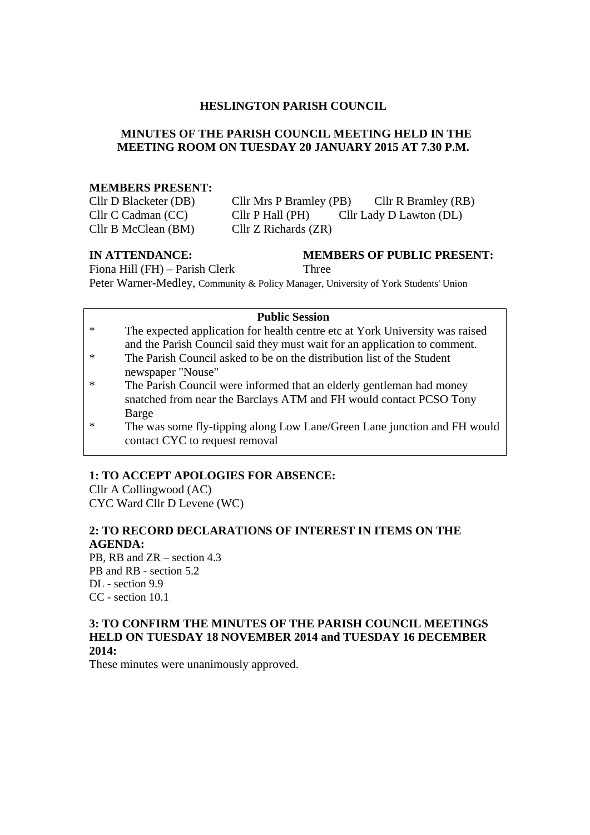#### **HESLINGTON PARISH COUNCIL**

## **MINUTES OF THE PARISH COUNCIL MEETING HELD IN THE MEETING ROOM ON TUESDAY 20 JANUARY 2015 AT 7.30 P.M.**

#### **MEMBERS PRESENT:**

| Cllr D Blacketer (DB) | Cllr Mrs P Bramley (PB)  | Cllr R Bramley (RB)     |
|-----------------------|--------------------------|-------------------------|
| Cllr C Cadman (CC)    | Cllr P Hall (PH)         | Cllr Lady D Lawton (DL) |
| Cllr B McClean (BM)   | $Cllr Z$ Richards $(ZR)$ |                         |

#### **IN ATTENDANCE: MEMBERS OF PUBLIC PRESENT:** Fiona Hill (FH) – Parish Clerk Three

Peter Warner-Medley, Community & Policy Manager, University of York Students' Union

# **Public Session**

- \* The expected application for health centre etc at York University was raised and the Parish Council said they must wait for an application to comment.
- \* The Parish Council asked to be on the distribution list of the Student newspaper "Nouse"
- \* The Parish Council were informed that an elderly gentleman had money snatched from near the Barclays ATM and FH would contact PCSO Tony Barge
- \* The was some fly-tipping along Low Lane/Green Lane junction and FH would contact CYC to request removal

# **1: TO ACCEPT APOLOGIES FOR ABSENCE:**

Cllr A Collingwood (AC) CYC Ward Cllr D Levene (WC)

# **2: TO RECORD DECLARATIONS OF INTEREST IN ITEMS ON THE AGENDA:**

PB, RB and ZR – section 4.3 PB and RB - section 5.2 DL - section 9.9 CC - section 10.1

#### **3: TO CONFIRM THE MINUTES OF THE PARISH COUNCIL MEETINGS HELD ON TUESDAY 18 NOVEMBER 2014 and TUESDAY 16 DECEMBER 2014:**

These minutes were unanimously approved.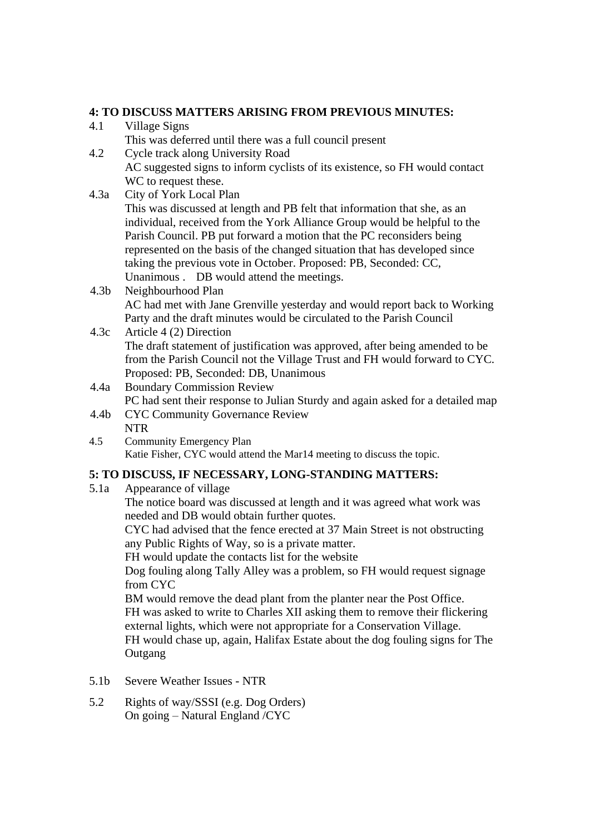## **4: TO DISCUSS MATTERS ARISING FROM PREVIOUS MINUTES:**

- 4.1 Village Signs This was deferred until there was a full council present
- 4.2 Cycle track along University Road AC suggested signs to inform cyclists of its existence, so FH would contact WC to request these.
- 4.3a City of York Local Plan

This was discussed at length and PB felt that information that she, as an individual, received from the York Alliance Group would be helpful to the Parish Council. PB put forward a motion that the PC reconsiders being represented on the basis of the changed situation that has developed since taking the previous vote in October. Proposed: PB, Seconded: CC, Unanimous . DB would attend the meetings.

- 4.3b Neighbourhood Plan AC had met with Jane Grenville yesterday and would report back to Working Party and the draft minutes would be circulated to the Parish Council
- 4.3c Article 4 (2) Direction The draft statement of justification was approved, after being amended to be from the Parish Council not the Village Trust and FH would forward to CYC. Proposed: PB, Seconded: DB, Unanimous
- 4.4a Boundary Commission Review PC had sent their response to Julian Sturdy and again asked for a detailed map
- 4.4b CYC Community Governance Review NTR
- 4.5 Community Emergency Plan Katie Fisher, CYC would attend the Mar14 meeting to discuss the topic.

## **5: TO DISCUSS, IF NECESSARY, LONG-STANDING MATTERS:**

5.1a Appearance of village

The notice board was discussed at length and it was agreed what work was needed and DB would obtain further quotes.

CYC had advised that the fence erected at 37 Main Street is not obstructing any Public Rights of Way, so is a private matter.

FH would update the contacts list for the website

Dog fouling along Tally Alley was a problem, so FH would request signage from CYC

BM would remove the dead plant from the planter near the Post Office. FH was asked to write to Charles XII asking them to remove their flickering

external lights, which were not appropriate for a Conservation Village.

FH would chase up, again, Halifax Estate about the dog fouling signs for The **Outgang** 

- 5.1b Severe Weather Issues NTR
- 5.2 Rights of way/SSSI (e.g. Dog Orders) On going – Natural England /CYC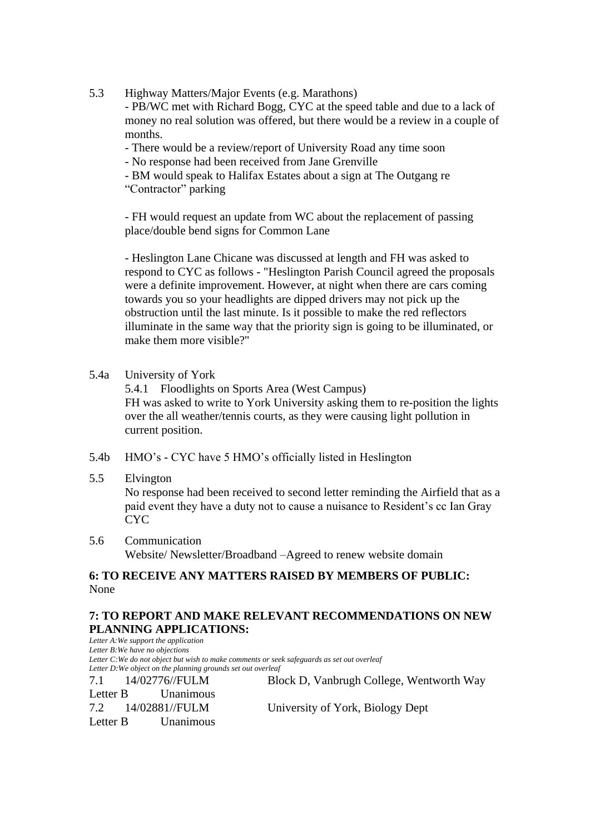5.3 Highway Matters/Major Events (e.g. Marathons)

- PB/WC met with Richard Bogg, CYC at the speed table and due to a lack of money no real solution was offered, but there would be a review in a couple of months.

- There would be a review/report of University Road any time soon
- No response had been received from Jane Grenville
- BM would speak to Halifax Estates about a sign at The Outgang re

"Contractor" parking

- FH would request an update from WC about the replacement of passing place/double bend signs for Common Lane

- Heslington Lane Chicane was discussed at length and FH was asked to respond to CYC as follows - "Heslington Parish Council agreed the proposals were a definite improvement. However, at night when there are cars coming towards you so your headlights are dipped drivers may not pick up the obstruction until the last minute. Is it possible to make the red reflectors illuminate in the same way that the priority sign is going to be illuminated, or make them more visible?"

5.4a University of York

5.4.1 Floodlights on Sports Area (West Campus) FH was asked to write to York University asking them to re-position the lights over the all weather/tennis courts, as they were causing light pollution in current position.

- 5.4b HMO's CYC have 5 HMO's officially listed in Heslington
- 5.5 Elvington

No response had been received to second letter reminding the Airfield that as a paid event they have a duty not to cause a nuisance to Resident's cc Ian Gray CYC

5.6 Communication Website/ Newsletter/Broadband –Agreed to renew website domain

# **6: TO RECEIVE ANY MATTERS RAISED BY MEMBERS OF PUBLIC:** None

### **7: TO REPORT AND MAKE RELEVANT RECOMMENDATIONS ON NEW PLANNING APPLICATIONS:**

*Letter A:We support the application Letter B:We have no objections Letter C:We do not object but wish to make comments or seek safeguards as set out overleaf Letter D:We object on the planning grounds set out overleaf* 7.1 14/02776//FULM Block D, Vanbrugh College, Wentworth Way Letter B Unanimous 7.2 14/02881//FULM University of York, Biology Dept Letter B Unanimous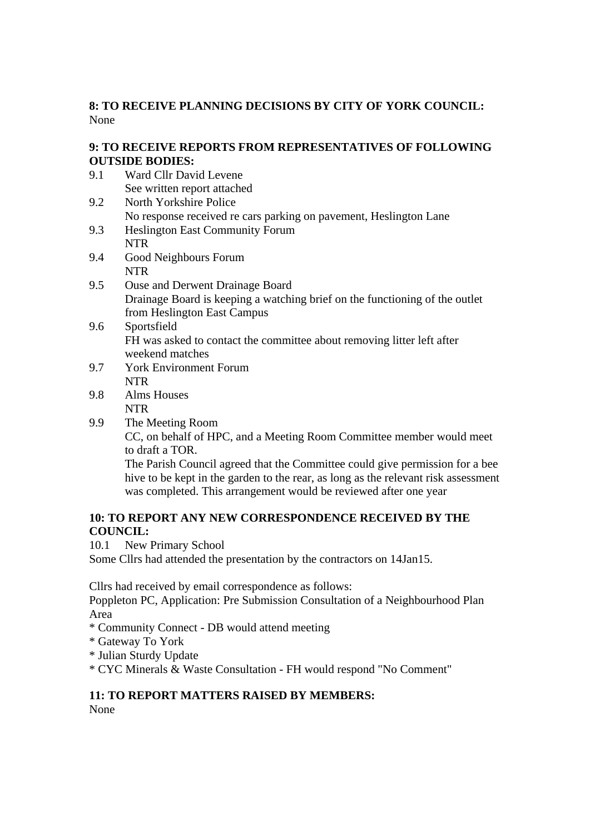## **8: TO RECEIVE PLANNING DECISIONS BY CITY OF YORK COUNCIL:** None

### **9: TO RECEIVE REPORTS FROM REPRESENTATIVES OF FOLLOWING OUTSIDE BODIES:**

- 9.1 Ward Cllr David Levene See written report attached
- 9.2 North Yorkshire Police No response received re cars parking on pavement, Heslington Lane
- 9.3 Heslington East Community Forum NTR
- 9.4 Good Neighbours Forum NTR
- 9.5 Ouse and Derwent Drainage Board Drainage Board is keeping a watching brief on the functioning of the outlet from Heslington East Campus
- 9.6 Sportsfield FH was asked to contact the committee about removing litter left after weekend matches
- 9.7 York Environment Forum NTR
- 9.8 Alms Houses NTR
- 9.9 The Meeting Room

CC, on behalf of HPC, and a Meeting Room Committee member would meet to draft a TOR.

The Parish Council agreed that the Committee could give permission for a bee hive to be kept in the garden to the rear, as long as the relevant risk assessment was completed. This arrangement would be reviewed after one year

# **10: TO REPORT ANY NEW CORRESPONDENCE RECEIVED BY THE COUNCIL:**

10.1 New Primary School

Some Cllrs had attended the presentation by the contractors on 14Jan15.

Cllrs had received by email correspondence as follows:

Poppleton PC, Application: Pre Submission Consultation of a Neighbourhood Plan Area

- \* Community Connect DB would attend meeting
- \* Gateway To York

\* Julian Sturdy Update

\* CYC Minerals & Waste Consultation - FH would respond "No Comment"

# **11: TO REPORT MATTERS RAISED BY MEMBERS:**

None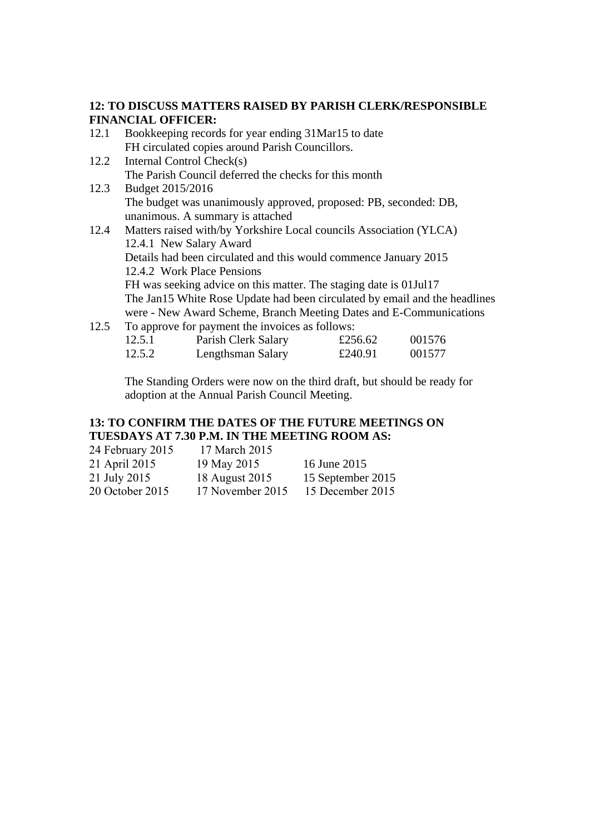#### **12: TO DISCUSS MATTERS RAISED BY PARISH CLERK/RESPONSIBLE FINANCIAL OFFICER:**

- 12.1 Bookkeeping records for year ending 31Mar15 to date FH circulated copies around Parish Councillors.
- 12.2 Internal Control Check(s) The Parish Council deferred the checks for this month 12.3 Budget 2015/2016
	- The budget was unanimously approved, proposed: PB, seconded: DB, unanimous. A summary is attached
- 12.4 Matters raised with/by Yorkshire Local councils Association (YLCA) 12.4.1 New Salary Award Details had been circulated and this would commence January 2015 12.4.2 Work Place Pensions FH was seeking advice on this matter. The staging date is 01Jul17 The Jan15 White Rose Update had been circulated by email and the headlines were - New Award Scheme, Branch Meeting Dates and E-Communications
- 12.5 To approve for payment the invoices as follows:

| 12.5.1 | Parish Clerk Salary | £256.62 | 001576 |
|--------|---------------------|---------|--------|
| 12.5.2 | Lengthsman Salary   | £240.91 | 001577 |

The Standing Orders were now on the third draft, but should be ready for adoption at the Annual Parish Council Meeting.

# **13: TO CONFIRM THE DATES OF THE FUTURE MEETINGS ON TUESDAYS AT 7.30 P.M. IN THE MEETING ROOM AS:**

| 24 February 2015 | 17 March 2015    |                   |
|------------------|------------------|-------------------|
| 21 April 2015    | 19 May 2015      | 16 June 2015      |
| 21 July 2015     | 18 August 2015   | 15 September 2015 |
| 20 October 2015  | 17 November 2015 | 15 December 2015  |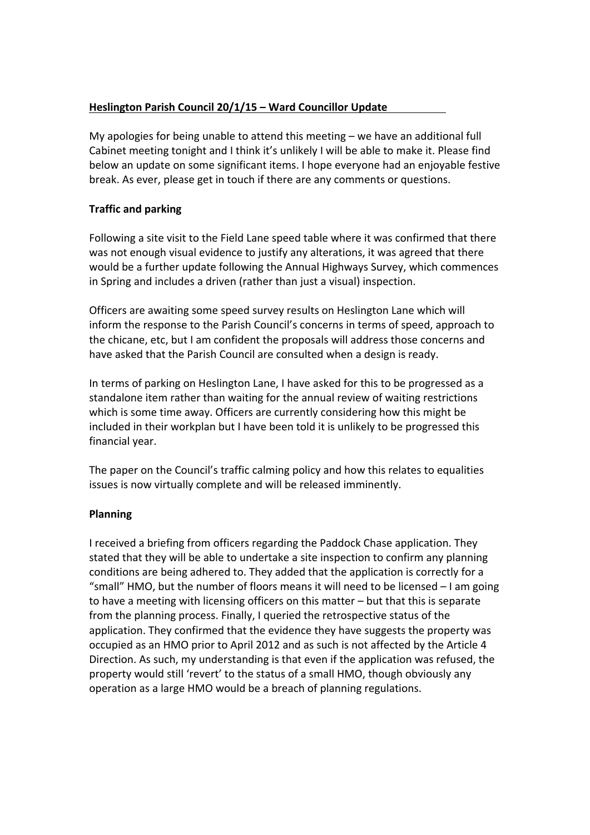## **Heslington Parish Council 20/1/15 – Ward Councillor Update**

My apologies for being unable to attend this meeting – we have an additional full Cabinet meeting tonight and I think it's unlikely I will be able to make it. Please find below an update on some significant items. I hope everyone had an enjoyable festive break. As ever, please get in touch if there are any comments or questions.

#### **Traffic and parking**

Following a site visit to the Field Lane speed table where it was confirmed that there was not enough visual evidence to justify any alterations, it was agreed that there would be a further update following the Annual Highways Survey, which commences in Spring and includes a driven (rather than just a visual) inspection.

Officers are awaiting some speed survey results on Heslington Lane which will inform the response to the Parish Council's concerns in terms of speed, approach to the chicane, etc, but I am confident the proposals will address those concerns and have asked that the Parish Council are consulted when a design is ready.

In terms of parking on Heslington Lane, I have asked for this to be progressed as a standalone item rather than waiting for the annual review of waiting restrictions which is some time away. Officers are currently considering how this might be included in their workplan but I have been told it is unlikely to be progressed this financial year.

The paper on the Council's traffic calming policy and how this relates to equalities issues is now virtually complete and will be released imminently.

#### **Planning**

I received a briefing from officers regarding the Paddock Chase application. They stated that they will be able to undertake a site inspection to confirm any planning conditions are being adhered to. They added that the application is correctly for a "small" HMO, but the number of floors means it will need to be licensed – I am going to have a meeting with licensing officers on this matter – but that this is separate from the planning process. Finally, I queried the retrospective status of the application. They confirmed that the evidence they have suggests the property was occupied as an HMO prior to April 2012 and as such is not affected by the Article 4 Direction. As such, my understanding is that even if the application was refused, the property would still 'revert' to the status of a small HMO, though obviously any operation as a large HMO would be a breach of planning regulations.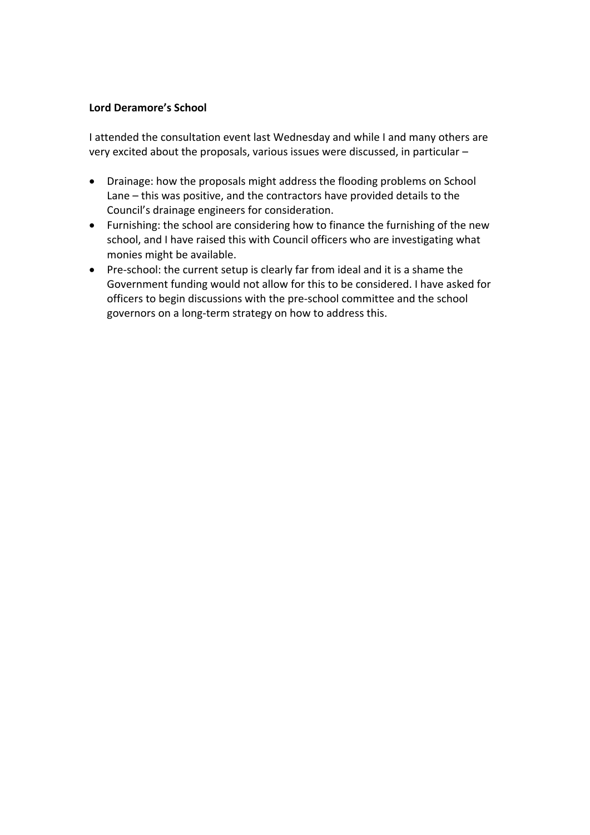#### **Lord Deramore's School**

I attended the consultation event last Wednesday and while I and many others are very excited about the proposals, various issues were discussed, in particular –

- Drainage: how the proposals might address the flooding problems on School Lane – this was positive, and the contractors have provided details to the Council's drainage engineers for consideration.
- Furnishing: the school are considering how to finance the furnishing of the new school, and I have raised this with Council officers who are investigating what monies might be available.
- Pre-school: the current setup is clearly far from ideal and it is a shame the Government funding would not allow for this to be considered. I have asked for officers to begin discussions with the pre-school committee and the school governors on a long-term strategy on how to address this.